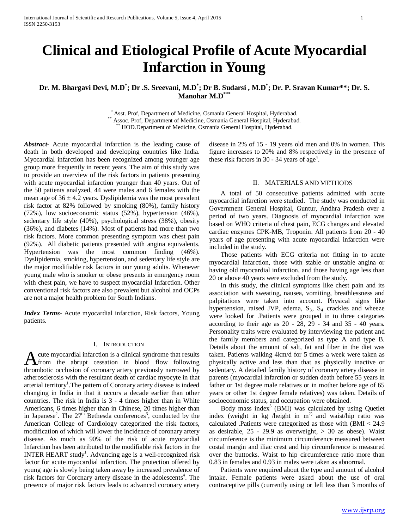# **Clinical and Etiological Profile of Acute Myocardial Infarction in Young**

# **Dr. M. Bhargavi Devi, M.D\* ; Dr .S. Sreevani, M.D\* ; Dr B. Sudarsi , M.D\* ; Dr. P. Sravan Kumar\*\*; Dr. S. Manohar M.D\*\*\***

\* Asst. Prof, Department of Medicine, Osmania General Hospital, Hyderabad. \*\* Assoc. Prof, Department of Medicine, Osmania General Hospital, Hyderabad. \*\* HOD.Department of Medicine, Osmania General Hospital, Hyderabad.

*Abstract***-** Acute myocardial infarction is the leading cause of death in both developed and developing countries like India. Myocardial infarction has been recognized among younger age group more frequently in recent years. The aim of this study was to provide an overview of the risk factors in patients presenting with acute myocardial infarction younger than 40 years. Out of the 50 patients analyzed, 44 were males and 6 females with the mean age of  $36 \pm 4.2$  years. Dyslipidemia was the most prevalent risk factor at 82% followed by smoking (80%), family history (72%), low socioeconomic status (52%), hypertension (46%), sedentary life style (40%), psychological stress (38%), obesity (36%), and diabetes (14%). Most of patients had more than two risk factors. More common presenting symptom was chest pain (92%). All diabetic patients presented with angina equivalents. Hypertension was the most common finding (46%). Dyslipidemia, smoking, hypertension, and sedentary life style are the major modifiable risk factors in our young adults. Whenever young male who is smoker or obese presents in emergency room with chest pain, we have to suspect myocardial Infarction. Other conventional risk factors are also prevalent but alcohol and OCPs are not a major health problem for South Indians.

*Index Terms*- Acute myocardial infarction, Risk factors, Young patients.

# I. INTRODUCTION

cute myocardial infarction is a clinical syndrome that results A cute myocardial infarction is a clinical syndrome that results<br>from the abrupt cessation in blood flow following<br>throubtie coolusion of contains a manipulation of the syndrom thrombotic occlusion of coronary artery previously narrowed by atherosclerosis with the resultant death of cardiac myocyte in that arterial territory<sup>1</sup>. The pattern of Coronary artery disease is indeed changing in India in that it occurs a decade earlier than other countries. The risk in India is 3 - 4 times higher than in White Americans, 6 times higher than in Chinese, 20 times higher than in Japanese<sup>2</sup>. The  $27<sup>th</sup>$  Bethesda conferences<sup>3</sup>, conducted by the American College of Cardiology categorized the risk factors, modification of which will lower the incidence of coronary artery disease. As much as 90% of the risk of acute myocardial Infarction has been attributed to the modifiable risk factors in the INTER HEART study<sup>1</sup>. Advancing age is a well-recognized risk factor for acute myocardial infarction. The protection offered by young age is slowly being taken away by increased prevalence of risk factors for Coronary artery disease in the adolescents<sup>4</sup>. The presence of major risk factors leads to advanced coronary artery

disease in 2% of 15 - 19 years old men and 0% in women. This figure increases to 20% and 8% respectively in the presence of these risk factors in 30 - 34 years of age<sup>4</sup>.

## II. MATERIALS AND METHODS

 A total of 50 consecutive patients admitted with acute myocardial infarction were studied. The study was conducted in Government General Hospital, Guntur, Andhra Pradesh over a period of two years. Diagnosis of myocardial infarction was based on WHO criteria of chest pain, ECG changes and elevated cardiac enzymes CPK-MB, Troponin. All patients from 20 - 40 years of age presenting with acute myocardial infarction were included in the study.

 Those patients with ECG criteria not fitting in to acute myocardial Infarction, those with stable or unstable angina or having old myocardial infarction, and those having age less than 20 or above 40 years were excluded from the study.

 In this study, the clinical symptoms like chest pain and its association with sweating, nausea, vomiting, breathlessness and palpitations were taken into account. Physical signs like hypertension, raised JVP, edema,  $S_3$ ,  $S_4$  crackles and wheeze were looked for .Patients were grouped in to three categories according to their age as 20 - 28, 29 - 34 and 35 - 40 years. Personality traits were evaluated by interviewing the patient and the family members and categorized as type A and type B. Details about the amount of salt, fat and fiber in the diet was taken. Patients walking 4km/d for 5 times a week were taken as physically active and less than that as physically inactive or sedentary. A detailed family history of coronary artery disease in parents (myocardial infarction or sudden death before 55 years in father or 1st degree male relatives or in mother before age of 65 years or other 1st degree female relatives) was taken. Details of socioeconomic status, and occupation were obtained.

Body mass index $5$  (BMI) was calculated by using Quetlet index (weight in kg /height in  $m^2$ ) and waist/hip ratio was calculated .Patients were categorized as those with (BMI < 24.9 as desirable,  $25 - 29.9$  as overweight,  $> 30$  as obese). Waist circumference is the minimum circumference measured between costal margin and iliac crest and hip circumference is measured over the buttocks. Waist to hip circumference ratio more than 0.83 in females and 0.93 in males were taken as abnormal.

 Patients were enquired about the type and amount of alcohol intake. Female patients were asked about the use of oral contraceptive pills (currently using or left less than 3 months of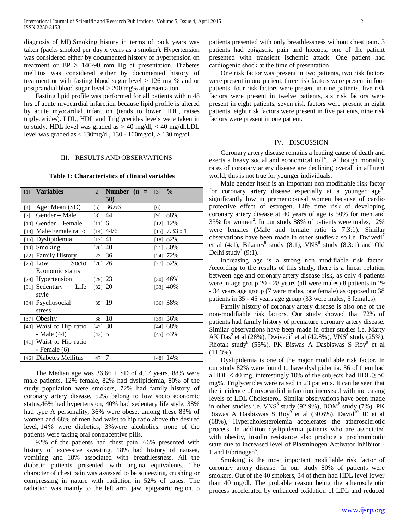diagnosis of MI).Smoking history in terms of pack years was taken (packs smoked per day x years as a smoker). Hypertension was considered either by documented history of hypertension on treatment or  $BP > 140/90$  mm Hg at presentation. Diabetes mellitus was considered either by documented history of treatment or with fasting blood sugar level > 126 mg % and or postprandial blood sugar level > 200 mg% at presentation.

 Fasting lipid profile was performed for all patients within 48 hrs of acute myocardial infarction because lipid profile is altered by acute myocardial infarction (tends to lower HDL, raises triglycerides). LDL, HDL and Triglycerides levels were taken in to study. HDL level was graded as  $> 40$  mg/dl,  $< 40$  mg/dl.LDL level was graded as < 130mg/dl, 130 - 160mg/dl, > 130 mg/dl.

#### III. RESULTS AND OBSERVATIONS

#### **Table 1: Characteristics of clinical variables**

| [1] Variables                | Number $(n =  $<br>$[2]$   | $\frac{0}{0}$<br>$\lceil 3 \rceil$ |
|------------------------------|----------------------------|------------------------------------|
|                              | 50)                        |                                    |
| Age: Mean (SD)<br>$[4]$      | 36.66<br>$\lceil 5 \rceil$ | [6]                                |
| Gender – Male<br>$[7]$       | $[8]$ 44                   | 88%<br>[9]                         |
| $[10]$ Gender – Female       | [11] 6                     | $[12]$ 12%                         |
| [13] Male/Female ratio       | $[14]$ 44/6                | $[15]$ 7.33 : 1                    |
| [16] Dyslipidemia            | $[17]$ 41                  | [18] $82%$                         |
| [19] Smoking                 | $[20]$ 40                  | [21] 80%                           |
| [22] Family History          | [23] 36                    | [24] 72%                           |
| [25] Low Socio               | $[26]$ 26                  | $[27]$ 52%                         |
| Economic status              |                            |                                    |
| [28] Hypertension            | $[29]$ 23                  | [30] $46%$                         |
| [31] Sedentary Life          | [32] 20                    | [33] $40%$                         |
| style                        |                            |                                    |
| [34] Psychosocial            | $[35]$ 19                  | [36] 38%                           |
| stress                       |                            |                                    |
| Obesity<br>$\left[37\right]$ | $[38]$ 18                  | $[39]$ 36%                         |
| [40] Waist to Hip ratio      | [42] 30                    | [44] 68%                           |
| - Male (44)                  | [43] 5                     | [45] 83%                           |
| [41] Waist to Hip ratio      |                            |                                    |
| - Female $(6)$               |                            |                                    |
| [46] Diabetes Mellitus       | [47] 7                     | [48] 14%                           |

The Median age was  $36.66 \pm SD$  of 4.17 years. 88% were male patients, 12% female, 82% had dyslipidemia, 80% of the study population were smokers, 72% had family history of coronary artery disease, 52% belong to low socio economic status,46% had hypertension, 40% had sedentary life style, 38% had type A personality, 36% were obese, among these 83% of women and 68% of men had waist to hip ratio above the desired level, 14 % were diabetics, 3%were alcoholics, none of the patients were taking oral contraceptive pills.

 92% of the patients had chest pain. 66% presented with history of excessive sweating, 18% had history of nausea, vomiting and 18% associated with breathlessness. All the diabetic patients presented with angina equivalents. The character of chest pain was assessed to be squeezing, crushing or compressing in nature with radiation in 52% of cases. The radiation was mainly to the left arm, jaw, epigastric region. 5 patients presented with only breathlessness without chest pain. 3 patients had epigastric pain and hiccups, one of the patient presented with transient ischemic attack. One patient had cardiogenic shock at the time of presentation.

 One risk factor was present in two patients, two risk factors were present in one patient, three risk factors were present in four patients, four risk factors were present in nine patients, five risk factors were present in twelve patients, six risk factors were present in eight patients, seven risk factors were present in eight patients, eight risk factors were present in five patients, nine risk factors were present in one patient.

#### IV. DISCUSSION

 Coronary artery disease remains a leading cause of death and exerts a heavy social and economical toll<sup>4</sup>. Although mortality rates of coronary artery disease are declining overall in affluent world, this is not true for younger individuals.

 Male gender itself is an important non modifiable risk factor for coronary artery disease especially at a younger age<sup>5</sup>, significantly low in premenopausal women because of cardio protective effect of estrogen. Life time risk of developing coronary artery disease at 40 years of age is 50% for men and 33% for women<sup>2</sup>. In our study 88% of patients were males,  $12\%$ were females (Male and female ratio is 7.3:1). Similar observations have been made in other studies also i.e. Dwivedi' et al  $(4:1)$ , Bikanes<sup>8</sup> study  $(8:1)$ , VNS<sup>8</sup> study  $(8.3:1)$  and Old Delhi study<sup>8</sup> (9:1).

 Increasing age is a strong non modifiable risk factor. According to the results of this study, there is a linear relation between age and coronary artery disease risk, as only 4 patients were in age group 20 - 28 years (all were males) 8 patients in 29 - 34 years age group (7 were males, one female) as opposed to 38 patients in 35 - 45 years age group (33 were males, 5 females).

 Family history of coronary artery disease is also one of the non-modifiable risk factors. Our study showed that 72% of patients had family history of premature coronary artery disease. Similar observations have been made in other studies i.e. Marty AK Das<sup>2</sup> et al (28%), Dwivedi<sup>7</sup> et al (42.8%), VNS<sup>8</sup> study (25%), Rhotak study<sup>8</sup> (55%). PK Biswas A Dasbiswas S Roy<sup>9</sup> et al (11.3%),

 Dyslipidemia is one of the major modifiable risk factor. In our study 82% were found to have dyslipidemia. 36 of them had a HDL < 40 mg, interestingly 10% of the subjects had HDL  $\geq$  50 mg%. Triglycerides were raised in 23 patients. It can be seen that the incidence of myocardial infarction increased with increasing levels of LDL Cholesterol. Similar observations have been made in other studies i.e.  $VNS<sup>8</sup>$  study (92.9%), BOM<sup>8</sup> study (7%). PK Biswas A Dasbiswas S Roy<sup>9</sup> et al (30.6%), David<sup>10</sup> JE et al (68%), Hypercholesterolemia accelerates the atherosclerotic process. In addition dyslipidemia patients who are associated with obesity, insulin resistance also produce a prothrombotic state due to increased level of Plasminogen Activator Inhibitor - 1 and Fibrinogen<sup>6</sup>.

 Smoking is the most important modifiable risk factor of coronary artery disease. In our study 80% of patients were smokers. Out of the 40 smokers, 34 of them had HDL level lower than 40 mg/dl. The probable reason being the atherosclerotic process accelerated by enhanced oxidation of LDL and reduced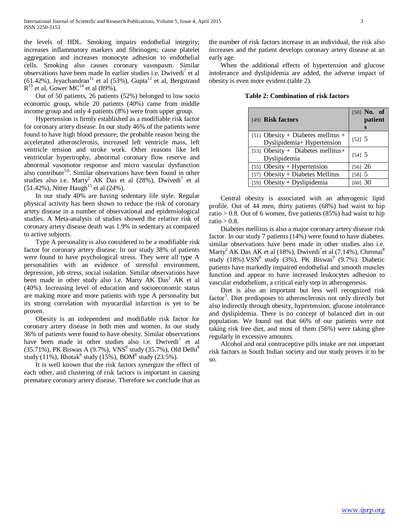the levels of HDL. Smoking impairs endothelial integrity; increases inflammatory markers and fibrinogen; cause platelet aggregation and increases monocyte adhesion to endothelial cells. Smoking also causes coronary vasospasm. Similar observations have been made In earlier studies i.e. Dwivedi<sup>7</sup> et al (61.42%), Jeyachandran<sup>11</sup> et al (53%), Gupta<sup>12</sup> et al, Bergstrand  $R^{13}$  et al, Gower MC<sup>14</sup> et al (89%),

 Out of 50 patients, 26 patients (52%) belonged to low socio economic group, while 20 patients (40%) came from middle income group and only 4 patients (8%) were from upper group.

 Hypertension is firmly established as a modifiable risk factor for coronary artery disease. In our study 46% of the patients were found to have high blood pressure, the probable reason being the accelerated atherosclerosis, increased left ventricle mass, left ventricle tension and stroke work. Other reasons like left ventricular hypertrophy, abnormal coronary flow reserve and abnormal vasomotor response and micro vascular dysfunction also contribute<sup>5,6</sup>. Similar observations have been found in other studies also i.e. Marty<sup>2</sup> AK Das et al (28%), Dwivedi<sup>7</sup> et al  $(51.42\%)$ , Nitter Haugh<sup>15</sup> et al  $(24\%)$ .

 In our study 40% are having sedentary life style. Regular physical activity has been shown to reduce the risk of coronary artery disease in a number of observational and epidemiological studies. A Meta-analysis of studies showed the relative risk of coronary artery disease death was 1.9% in sedentary as compared to active subjects.

 Type A personality is also considered to be a modifiable risk factor for coronary artery disease. In our study 38% of patients were found to have psychological stress. They were all type A personalities with an evidence of stressful environment, depression, job stress, social isolation. Similar observations have been made in other study also i.e. Marty AK  $Das<sup>2</sup> AK$  et al (40%). Increasing level of education and socioeconomic status are making more and more patients with type A personality but its strong correlation with myocardial infarction is yet to be proven.

 Obesity is an independent and modifiable risk factor for coronary artery disease in both men and women. In our study 36% of patients were found to have obesity. Similar observations have been made in other studies also i.e. Dwivedi<sup>7</sup> et al (35.71%), PK Biswas A (9.7%), VNS<sup>8</sup> study (35.7%), Old Delhi<sup>8</sup> study (11%), Rhotak<sup>8</sup> study (15%), BOM<sup>8</sup> study (23.5%).

 It is well known that the risk factors synergize the effect of each other, and clustering of risk factors is important in causing premature coronary artery disease. Therefore we conclude that as the number of risk factors increase in an individual, the risk also increases and the patient develops coronary artery disease at an early age.

 When the additional effects of hypertension and glucose intolerance and dyslipidemia are added, the adverse impact of obesity is even more evident (table 2).

**Table 2: Combination of risk factors**

| [49] Risk factors                                                | $[50]$ No. of<br>patient<br>S |
|------------------------------------------------------------------|-------------------------------|
| [51] Obesity + Diabetes mellitus +<br>Dyslipidemia+ Hypertension | [52] 5                        |
| [53] Obesity + Diabetes mellitus+<br>Dyslipidemia                | [54] 5                        |
| [55] Obesity + Hypertension                                      | $[56]$ 26                     |
| [57] Obesity + Diabetes Mellitus                                 | $[58]$ 5                      |
| [59] Obesity + Dyslipidemia                                      | [60] 30                       |

 Central obesity is associated with an atherogenic lipid profile. Out of 44 men, thirty patients (68%) had waist to hip ratio  $> 0.8$ . Out of 6 women, five patients (85%) had waist to hip ratio  $> 0.8$ .

 Diabetes mellitus is also a major coronary artery disease risk factor. In our study 7 patients (14%) were found to have diabetes. similar observations have been made in other studies also i.e. Marty<sup>2</sup> AK Das AK et al (18%), Dwivedi<sup>7</sup>et al (7.14%), Chennai<sup>8</sup> study  $(18\%)$ .VSN<sup>8</sup> study  $(3\%)$ , PK Biswas<sup>9</sup>  $(9.7\%)$ . Diabetic patients have markedly impaired endothelial and smooth muscles function and appear to have increased leukocytes adhesion to vascular endothelium, a critical early step in atherogenesis.

 Diet is also an important but less well recognized risk factor<sup>3</sup>. Diet predisposes to atherosclerosis not only directly but also indirectly through obesity, hypertension, glucose intolerance and dyslipidemia. There is no concept of balanced diet in our population. We found out that 66% of our patients were not taking risk free diet, and most of them (56%) were taking ghee regularly in excessive amounts.

 Alcohol and oral contraceptive pills intake are not important risk factors in South Indian society and our study proves it to be so.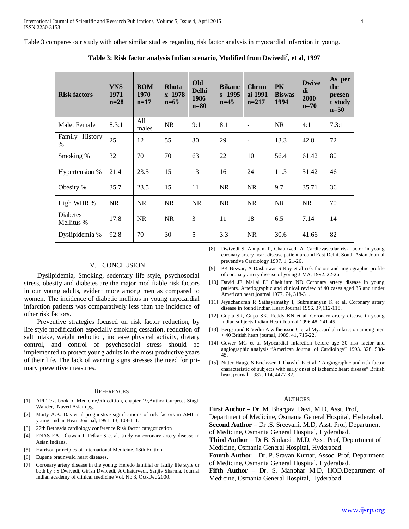Table 3 compares our study with other similar studies regarding risk factor analysis in myocardial infarction in young.

| <b>Risk factors</b>    | <b>VNS</b><br>1971<br>$n=28$ | <b>BOM</b><br>1970<br>$n=17$ | <b>Rhota</b><br>x 1978<br>$n=65$ | <b>Old</b><br><b>Delhi</b><br>1986<br>$n=80$ | <b>Bikane</b><br>$s$ 1995<br>$n=45$ | <b>Chenn</b><br>ai 1991<br>$n=217$ | <b>PK</b><br><b>Biswas</b><br>1994 | <b>Dwive</b><br>di<br>2000<br>$n=70$ | As per<br>the<br>presen<br>t study<br>$n=50$ |
|------------------------|------------------------------|------------------------------|----------------------------------|----------------------------------------------|-------------------------------------|------------------------------------|------------------------------------|--------------------------------------|----------------------------------------------|
| Male: Female           | 8.3:1                        | All<br>males                 | <b>NR</b>                        | 9:1                                          | 8:1                                 | $\overline{\phantom{a}}$           | <b>NR</b>                          | 4:1                                  | 7.3:1                                        |
| Family History<br>$\%$ | 25                           | 12                           | 55                               | 30                                           | 29                                  | $\overline{\phantom{a}}$           | 13.3                               | 42.8                                 | 72                                           |
| Smoking %              | 32                           | 70                           | 70                               | 63                                           | 22                                  | 10                                 | 56.4                               | 61.42                                | 80                                           |
| Hypertension %         | 21.4                         | 23.5                         | 15                               | 13                                           | 16                                  | 24                                 | 11.3                               | 51.42                                | 46                                           |
| Obesity %              | 35.7                         | 23.5                         | 15                               | 11                                           | <b>NR</b>                           | <b>NR</b>                          | 9.7                                | 35.71                                | 36                                           |
| High WHR %             | <b>NR</b>                    | <b>NR</b>                    | <b>NR</b>                        | NR                                           | <b>NR</b>                           | <b>NR</b>                          | <b>NR</b>                          | NR.                                  | 70                                           |
| Diabetes<br>Mellitus % | 17.8                         | <b>NR</b>                    | <b>NR</b>                        | 3                                            | 11                                  | 18                                 | 6.5                                | 7.14                                 | 14                                           |
| Dyslipidemia %         | 92.8                         | 70                           | 30                               | 5                                            | 3.3                                 | <b>NR</b>                          | 30.6                               | 41.66                                | 82                                           |

**Table 3: Risk factor analysis Indian scenario, Modified from Dwivedi 7 , et al, 1997**

# V. CONCLUSION

 Dyslipidemia, Smoking, sedentary life style, psychosocial stress, obesity and diabetes are the major modifiable risk factors in our young adults, evident more among men as compared to women. The incidence of diabetic mellitus in young myocardial infarction patients was comparatively less than the incidence of other risk factors.

 Preventive strategies focused on risk factor reduction, by life style modification especially smoking cessation, reduction of salt intake, weight reduction, increase physical activity, dietary control, and control of psychosocial stress should be implemented to protect young adults in the most productive years of their life. The lack of warning signs stresses the need for primary preventive measures.

#### **REFERENCES**

- [1] API Text book of Medicine,9th edition, chapter 19,Author Gurpreet Singh Wander, Naved Aslam pg.
- [2] Marty A.K. Das et al prognostive significations of risk factors in AMI in young. Indian Heart Journal, 1991. 13, 108-111.
- [3] 27th Bethesda cardiology conference Risk factor categorization
- [4] ENAS EA, Dhawan J, Petkar S et al. study on coronary artery disease in Asian Indians.
- [5] Harrison principles of International Medicine. 18th Edition.
- [6] Eugene braunwald heart diseases.
- [7] Coronary artery disease in the young; Heredo familial or faulty life style or both by : S Dwivedi, Girish Dwivedi, A Chaturvedi, Sanjiv Sharma, Journal Indian academy of clinical medicine Vol. No.3, Oct-Dec 2000.
- [8] Dwivedi S, Anupam P, Chaturvedi A, Cardiovascular risk factor in young coronary artery heart disease patient around East Delhi. South Asian Journal preventive Cardiology 1997. 1, 21-26.
- [9] PK Biswar, A Dasbiswas S Roy et al risk factors and angiographic profile of coronary artery disease of young JIMA, 1992. 22-26.
- [10] David JE Mallal FJ Cheitlinm ND Coronary artery disease in young patients. Arteriographic and clinical review of 40 cases aged 35 and under American heart journal 1977. 74, 318-31.
- [11] Jeyachandran R Sathayamathy I, Subramanyan K et al. Coronary artery disease in found Indian Heart Journal 1996. 37,112-118.
- [12] Gupta SR, Gupa SK, Reddy KN et al. Coronary artery disease in young Indian subjects Indian Heart Journal 1996.48, 241-45.
- [13] Bergstrand R Vedin A wilhensson C et al Myocardial infarction among men < 40 British heart journal, 1989. 41, 715-22.
- [14] Gower MC et al Myocardial infarction before age 30 risk factor and angiographic analysis "American Journal of Cardiology" 1993. 328, 538- 45.
- [15] Nitter Hauge S Erickssen J Thawlol E et al. "Angiographic and risk factor characteristic of subjects with early onset of ischemic heart disease" British heart journal, 1987. 114, 4477-82.

## **AUTHORS**

**First Author** – Dr. M. Bhargavi Devi, M.D, Asst. Prof,

Department of Medicine, Osmania General Hospital, Hyderabad. **Second Author** – Dr .S. Sreevani, M.D, Asst. Prof, Department

of Medicine, Osmania General Hospital, Hyderabad.

**Third Author** – Dr B. Sudarsi , M.D, Asst. Prof, Department of Medicine, Osmania General Hospital, Hyderabad.

**Fourth Author** – Dr. P. Sravan Kumar, Assoc. Prof, Department of Medicine, Osmania General Hospital, Hyderabad.

**Fifth Author** – Dr. S. Manohar M.D, HOD.Department of Medicine, Osmania General Hospital, Hyderabad.